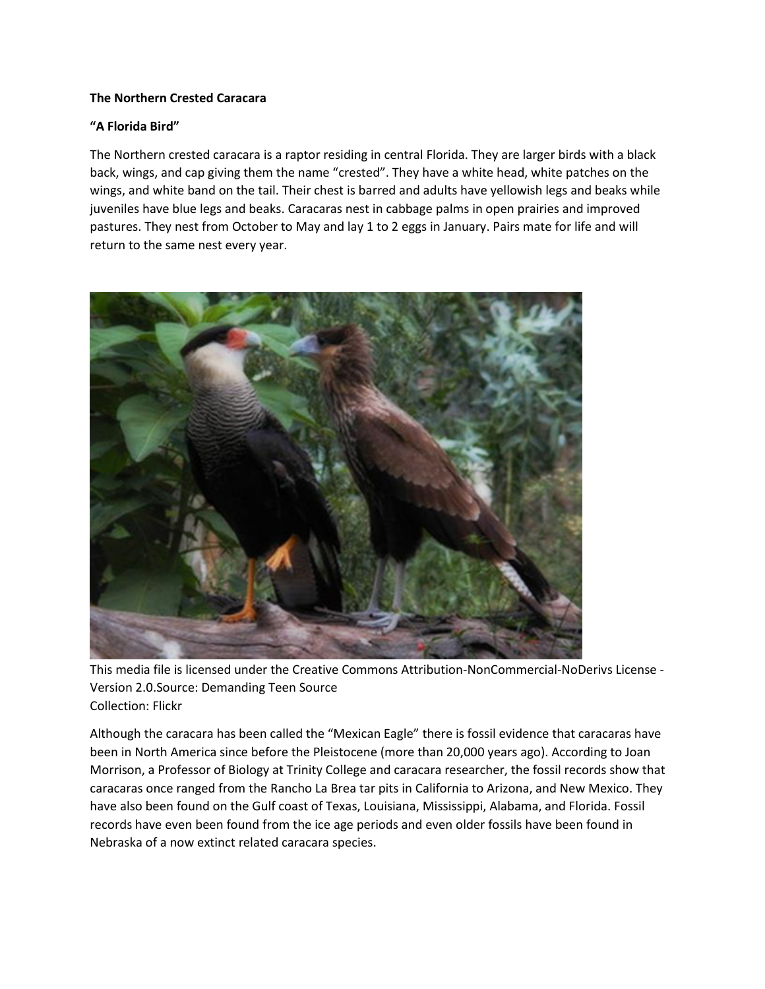## **The Northern Crested Caracara**

## **"A Florida Bird"**

The Northern crested caracara is a raptor residing in central Florida. They are larger birds with a black back, wings, and cap giving them the name "crested". They have a white head, white patches on the wings, and white band on the tail. Their chest is barred and adults have yellowish legs and beaks while juveniles have blue legs and beaks. Caracaras nest in cabbage palms in open prairies and improved pastures. They nest from October to May and lay 1 to 2 eggs in January. Pairs mate for life and will return to the same nest every year.



This media file is licensed under the Creative Commons Attribution-NonCommercial-NoDerivs License - Version 2.0.Source: Demanding Teen Source Collection: Flickr

Although the caracara has been called the "Mexican Eagle" there is fossil evidence that caracaras have been in North America since before the Pleistocene (more than 20,000 years ago). According to Joan Morrison, a Professor of Biology at Trinity College and caracara researcher, the fossil records show that caracaras once ranged from the Rancho La Brea tar pits in California to Arizona, and New Mexico. They have also been found on the Gulf coast of Texas, Louisiana, Mississippi, Alabama, and Florida. Fossil records have even been found from the ice age periods and even older fossils have been found in Nebraska of a now extinct related caracara species.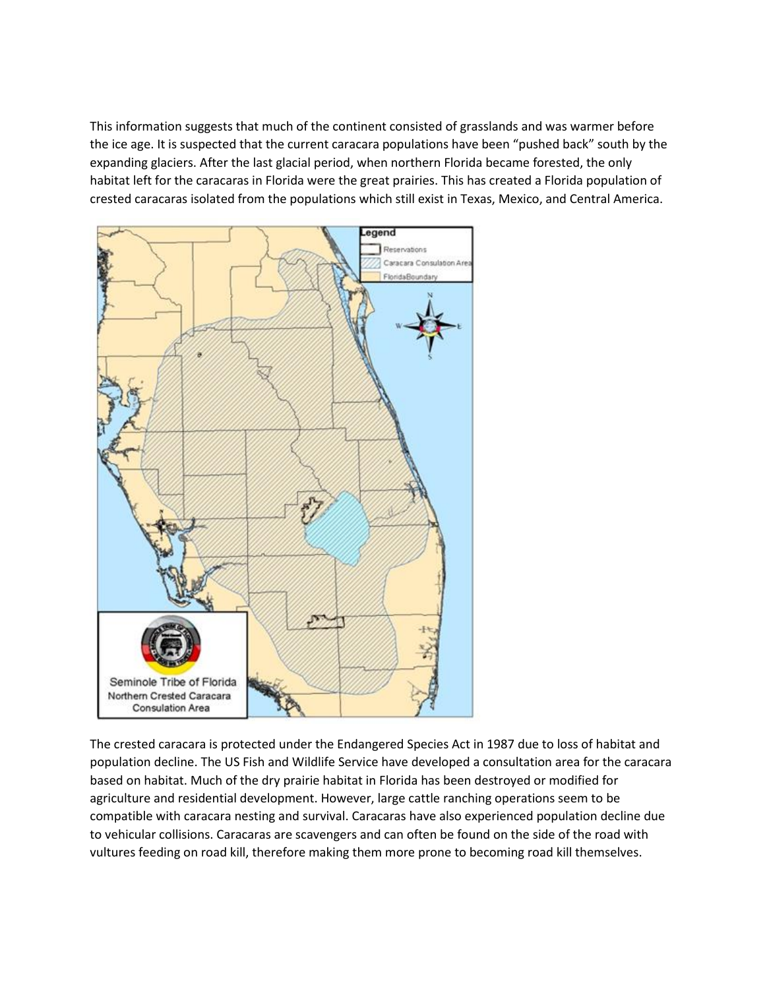This information suggests that much of the continent consisted of grasslands and was warmer before the ice age. It is suspected that the current caracara populations have been "pushed back" south by the expanding glaciers. After the last glacial period, when northern Florida became forested, the only habitat left for the caracaras in Florida were the great prairies. This has created a Florida population of crested caracaras isolated from the populations which still exist in Texas, Mexico, and Central America.



The crested caracara is protected under the Endangered Species Act in 1987 due to loss of habitat and population decline. The US Fish and Wildlife Service have developed a consultation area for the caracara based on habitat. Much of the dry prairie habitat in Florida has been destroyed or modified for agriculture and residential development. However, large cattle ranching operations seem to be compatible with caracara nesting and survival. Caracaras have also experienced population decline due to vehicular collisions. Caracaras are scavengers and can often be found on the side of the road with vultures feeding on road kill, therefore making them more prone to becoming road kill themselves.